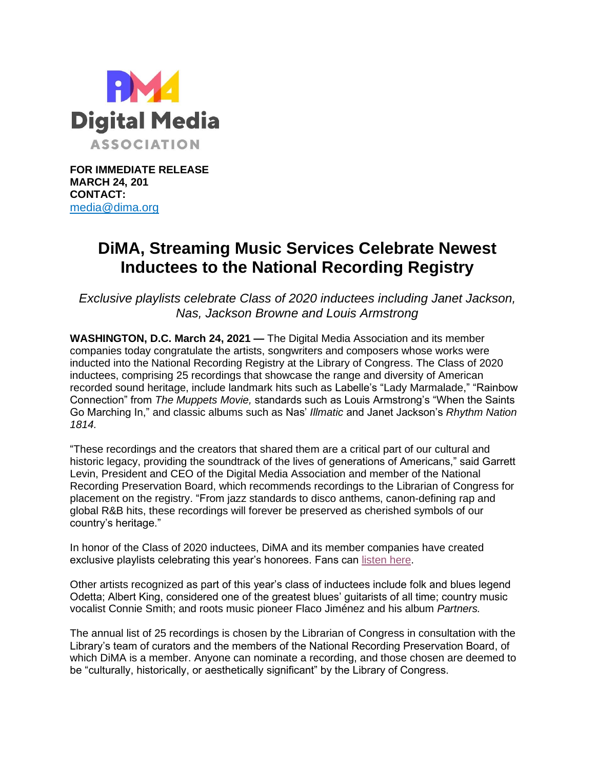

**FOR IMMEDIATE RELEASE MARCH 24, 201 CONTACT:** [media@dima.org](mailto:media@dima.org)

## **DiMA, Streaming Music Services Celebrate Newest Inductees to the National Recording Registry**

*Exclusive playlists celebrate Class of 2020 inductees including Janet Jackson, Nas, Jackson Browne and Louis Armstrong*

**WASHINGTON, D.C. March 24, 2021 —** The Digital Media Association and its member companies today congratulate the artists, songwriters and composers whose works were inducted into the National Recording Registry at the Library of Congress. The Class of 2020 inductees, comprising 25 recordings that showcase the range and diversity of American recorded sound heritage, include landmark hits such as Labelle's "Lady Marmalade," "Rainbow Connection" from *The Muppets Movie,* standards such as Louis Armstrong's "When the Saints Go Marching In," and classic albums such as Nas' *Illmatic* and Janet Jackson's *Rhythm Nation 1814.*

"These recordings and the creators that shared them are a critical part of our cultural and historic legacy, providing the soundtrack of the lives of generations of Americans," said Garrett Levin, President and CEO of the Digital Media Association and member of the National Recording Preservation Board, which recommends recordings to the Librarian of Congress for placement on the registry. "From jazz standards to disco anthems, canon-defining rap and global R&B hits, these recordings will forever be preserved as cherished symbols of our country's heritage."

In honor of the Class of 2020 inductees, DiMA and its member companies have created exclusive playlists celebrating this year's honorees. Fans can [listen](https://dima.org/nrr-2020-inductee-playlists/) here.

Other artists recognized as part of this year's class of inductees include folk and blues legend Odetta; Albert King, considered one of the greatest blues' guitarists of all time; country music vocalist Connie Smith; and roots music pioneer Flaco Jiménez and his album *Partners.*

The annual list of 25 recordings is chosen by the Librarian of Congress in consultation with the Library's team of curators and the members of the National Recording Preservation Board, of which DiMA is a member. Anyone can nominate a recording, and those chosen are deemed to be "culturally, historically, or aesthetically significant" by the Library of Congress.